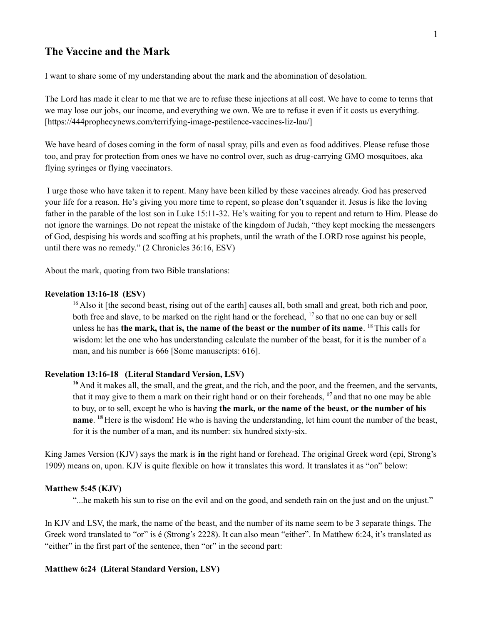# **The Vaccine and the Mark**

I want to share some of my understanding about the mark and the abomination of desolation.

The Lord has made it clear to me that we are to refuse these injections at all cost. We have to come to terms that we may lose our jobs, our income, and everything we own. We are to refuse it even if it costs us everything. [\[https://444prophecynews.com/terrifying-image-pestilence-vaccines-liz-lau/\]](https://444prophecynews.com/terrifying-image-pestilence-vaccines-liz-lau/)

We have heard of doses coming in the form of nasal spray, pills and even as food additives. Please refuse those too, and pray for protection from ones we have no control over, such as drug-carrying GMO mosquitoes, aka flying syringes or flying vaccinators.

I urge those who have taken it to repent. Many have been killed by these vaccines already. God has preserved your life for a reason. He's giving you more time to repent, so please don't squander it. Jesus is like the loving father in the parable of the lost son in Luke 15:11-32. He's waiting for you to repent and return to Him. Please do not ignore the warnings. Do not repeat the mistake of the kingdom of Judah, "they kept mocking the messengers of God, despising his words and scoffing at his prophets, until the wrath of the LORD rose against his people, until there was no remedy." (2 Chronicles 36:16, ESV)

About the mark, quoting from two Bible translations:

#### **Revelation 13:16-18 (ESV)**

 $16$  Also it [the second beast, rising out of the earth] causes all, both small and great, both rich and poor, both free and slave, to be marked on the right hand or the forehead, <sup>17</sup> so that no one can buy or sell unless he has **the mark, that is, the name of the beast or the number of its name**. <sup>18</sup> This calls for wisdom: let the one who has understanding calculate the number of the beast, for it is the number of a man, and his number is 666 [Some manuscripts: 616].

## **Revelation 13:16-18 (Literal Standard Version, LSV)**

<sup>16</sup> And it makes all, the small, and the great, and the rich, and the poor, and the freemen, and the servants, that it may give to them a mark on their right hand or on their foreheads, **<sup>17</sup>**and that no one may be able to buy, or to sell, except he who is having **the mark, or the name of the beast, or the number of his name**. **<sup>18</sup>**Here is the wisdom! He who is having the understanding, let him count the number of the beast, for it is the number of a man, and its number: six hundred sixty-six.

King James Version (KJV) says the mark is **in** the right hand or forehead. The original Greek word (epi, Strong's 1909) means on, upon. KJV is quite flexible on how it translates this word. It translates it as "on" below:

#### **Matthew 5:45 (KJV)**

"...he maketh his sun to rise on the evil and on the good, and sendeth rain on the just and on the unjust."

In KJV and LSV, the mark, the name of the beast, and the number of its name seem to be 3 separate things. The Greek word translated to "or" is é (Strong's 2228). It can also mean "either". In Matthew 6:24, it's translated as "either" in the first part of the sentence, then "or" in the second part:

#### **Matthew 6:24 (Literal Standard Version, LSV)**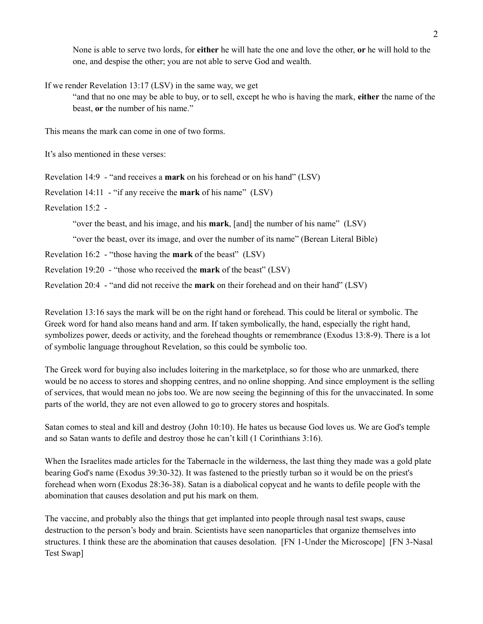None is able to serve two lords, for **either** he will hate the one and love the other, **or** he will hold to the one, and despise the other; you are not able to serve God and wealth.

If we render Revelation 13:17 (LSV) in the same way, we get

"and that no one may be able to buy, or to sell, except he who is having the mark, **either** the name of the beast, **or** the number of his name."

This means the mark can come in one of two forms.

It's also mentioned in these verses:

Revelation 14:9 - "and receives a **mark** on his forehead or on his hand" (LSV)

Revelation 14:11 - "if any receive the **mark** of his name" (LSV)

Revelation 15:2 -

"over the beast, and his image, and his **mark**, [and] the number of his name" (LSV)

"over the beast, over its image, and over the number of its name" (Berean Literal Bible)

Revelation 16:2 - "those having the **mark** of the beast" (LSV)

Revelation 19:20 - "those who received the **mark** of the beast" (LSV)

Revelation 20:4 - "and did not receive the **mark** on their forehead and on their hand" (LSV)

Revelation 13:16 says the mark will be on the right hand or forehead. This could be literal or symbolic. The Greek word for hand also means hand and arm. If taken symbolically, the hand, especially the right hand, symbolizes power, deeds or activity, and the forehead thoughts or remembrance (Exodus 13:8-9). There is a lot of symbolic language throughout Revelation, so this could be symbolic too.

The Greek word for buying also includes loitering in the marketplace, so for those who are unmarked, there would be no access to stores and shopping centres, and no online shopping. And since employment is the selling of services, that would mean no jobs too. We are now seeing the beginning of this for the unvaccinated. In some parts of the world, they are not even allowed to go to grocery stores and hospitals.

Satan comes to steal and kill and destroy (John 10:10). He hates us because God loves us. We are God's temple and so Satan wants to defile and destroy those he can't kill (1 Corinthians 3:16).

When the Israelites made articles for the Tabernacle in the wilderness, the last thing they made was a gold plate bearing God's name (Exodus 39:30-32). It was fastened to the priestly turban so it would be on the priest's forehead when worn (Exodus 28:36-38). Satan is a diabolical copycat and he wants to defile people with the abomination that causes desolation and put his mark on them.

The vaccine, and probably also the things that get implanted into people through nasal test swaps, cause destruction to the person's body and brain. Scientists have seen nanoparticles that organize themselves into structures. I think these are the abomination that causes desolation. [FN 1-Under the Microscope] [FN 3-Nasal Test Swap]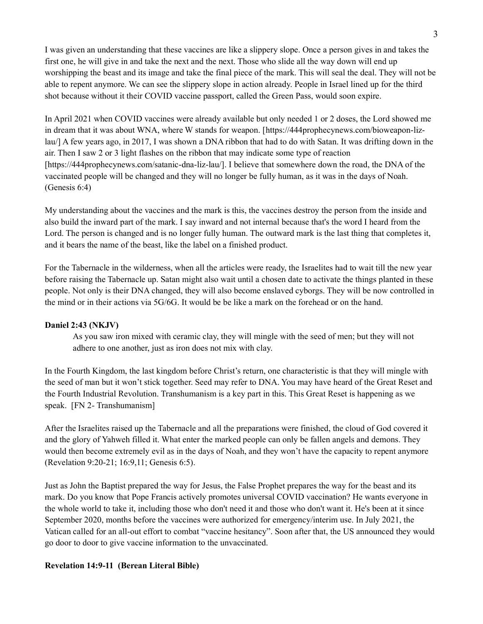I was given an understanding that these vaccines are like a slippery slope. Once a person gives in and takes the first one, he will give in and take the next and the next. Those who slide all the way down will end up worshipping the beast and its image and take the final piece of the mark. This will seal the deal. They will not be able to repent anymore. We can see the slippery slope in action already. People in Israel lined up for the third shot because without it their COVID vaccine passport, called the Green Pass, would soon expire.

In April 2021 when COVID vaccines were already available but only needed 1 or 2 doses, the Lord showed me in dream that it was about WNA, where W stands for weapon. [\[https://444prophecynews.com/bioweapon-liz](https://444prophecynews.com/bioweapon-liz-lau/)[lau/\]](https://444prophecynews.com/bioweapon-liz-lau/) A few years ago, in 2017, I was shown a DNA ribbon that had to do with Satan. It was drifting down in the air. Then I saw 2 or 3 light flashes on the ribbon that may indicate some type of reaction [\[https://444prophecynews.com/satanic-dna-liz-lau/\]](https://444prophecynews.com/satanic-dna-liz-lau/). I believe that somewhere down the road, the DNA of the vaccinated people will be changed and they will no longer be fully human, as it was in the days of Noah. (Genesis 6:4)

My understanding about the vaccines and the mark is this, the vaccines destroy the person from the inside and also build the inward part of the mark. I say inward and not internal because that's the word I heard from the Lord. The person is changed and is no longer fully human. The outward mark is the last thing that completes it, and it bears the name of the beast, like the label on a finished product.

For the Tabernacle in the wilderness, when all the articles were ready, the Israelites had to wait till the new year before raising the Tabernacle up. Satan might also wait until a chosen date to activate the things planted in these people. Not only is their DNA changed, they will also become enslaved cyborgs. They will be now controlled in the mind or in their actions via 5G/6G. It would be be like a mark on the forehead or on the hand.

## **Daniel 2:43 (NKJV)**

As you saw iron mixed with ceramic clay, they will mingle with the seed of men; but they will not adhere to one another, just as iron does not mix with clay.

In the Fourth Kingdom, the last kingdom before Christ's return, one characteristic is that they will mingle with the seed of man but it won't stick together. Seed may refer to DNA. You may have heard of the Great Reset and the Fourth Industrial Revolution. Transhumanism is a key part in this. This Great Reset is happening as we speak. [FN 2- Transhumanism]

After the Israelites raised up the Tabernacle and all the preparations were finished, the cloud of God covered it and the glory of Yahweh filled it. What enter the marked people can only be fallen angels and demons. They would then become extremely evil as in the days of Noah, and they won't have the capacity to repent anymore (Revelation 9:20-21; 16:9,11; Genesis 6:5).

Just as John the Baptist prepared the way for Jesus, the False Prophet prepares the way for the beast and its mark. Do you know that Pope Francis actively promotes universal COVID vaccination? He wants everyone in the whole world to take it, including those who don't need it and those who don't want it. He's been at it since September 2020, months before the vaccines were authorized for emergency/interim use. In July 2021, the Vatican called for an all-out effort to combat "vaccine hesitancy". Soon after that, the US announced they would go door to door to give vaccine information to the unvaccinated.

## **Revelation 14:9-11 (Berean Literal Bible)**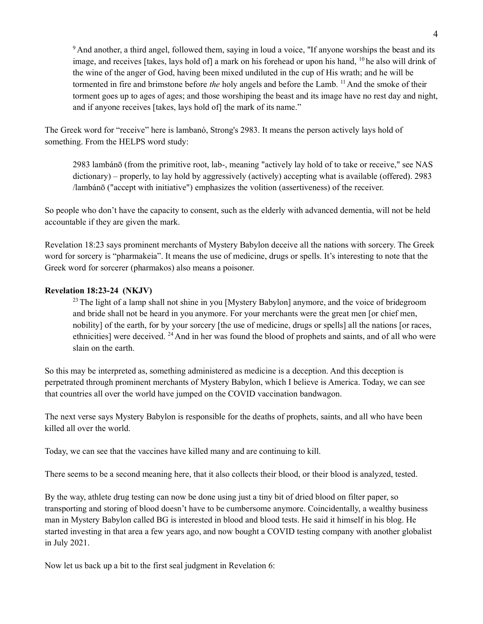$9$ And another, a third angel, followed them, saying in loud a voice, "If anyone worships the beast and its image, and receives [takes, lays hold of] a mark on his forehead or upon his hand, <sup>10</sup> he also will drink of the wine of the anger of God, having been mixed undiluted in the cup of His wrath; and he will be tormented in fire and brimstone before *the* holy angels and before the Lamb. <sup>11</sup> And the smoke of their torment goes up to ages of ages; and those worshiping the beast and its image have no rest day and night, and if anyone receives [takes, lays hold of] the mark of its name."

The Greek word for "receive" here is lambanó, Strong's 2983. It means the person actively lays hold of something. From the HELPS word study:

2983 lambánō (from the primitive root, lab-, meaning "actively lay hold of to take or receive," see NAS dictionary) – properly, to lay hold by aggressively (actively) accepting what is available (offered). 2983 /lambánō ("accept with initiative") emphasizes the volition (assertiveness) of the receiver.

So people who don't have the capacity to consent, such as the elderly with advanced dementia, will not be held accountable if they are given the mark.

Revelation 18:23 says prominent merchants of Mystery Babylon deceive all the nations with sorcery. The Greek word for sorcery is "pharmakeia". It means the use of medicine, drugs or spells. It's interesting to note that the Greek word for sorcerer (pharmakos) also means a poisoner.

## **Revelation 18:23-24 (NKJV)**

<sup>23</sup> The light of a lamp shall not shine in you [Mystery Babylon] anymore, and the voice of bridegroom and bride shall not be heard in you anymore. For your merchants were the great men [or chief men, nobility] of the earth, for by your sorcery [the use of medicine, drugs or spells] all the nations [or races, ethnicities] were deceived. <sup>24</sup>And in her was found the blood of prophets and saints, and of all who were slain on the earth.

So this may be interpreted as, something administered as medicine is a deception. And this deception is perpetrated through prominent merchants of Mystery Babylon, which I believe is America. Today, we can see that countries all over the world have jumped on the COVID vaccination bandwagon.

The next verse says Mystery Babylon is responsible for the deaths of prophets, saints, and all who have been killed all over the world.

Today, we can see that the vaccines have killed many and are continuing to kill.

There seems to be a second meaning here, that it also collects their blood, or their blood is analyzed, tested.

By the way, athlete drug testing can now be done using just a tiny bit of dried blood on filter paper, so transporting and storing of blood doesn't have to be cumbersome anymore. Coincidentally, a wealthy business man in Mystery Babylon called BG is interested in blood and blood tests. He said it himself in his blog. He started investing in that area a few years ago, and now bought a COVID testing company with another globalist in July 2021.

Now let us back up a bit to the first seal judgment in Revelation 6: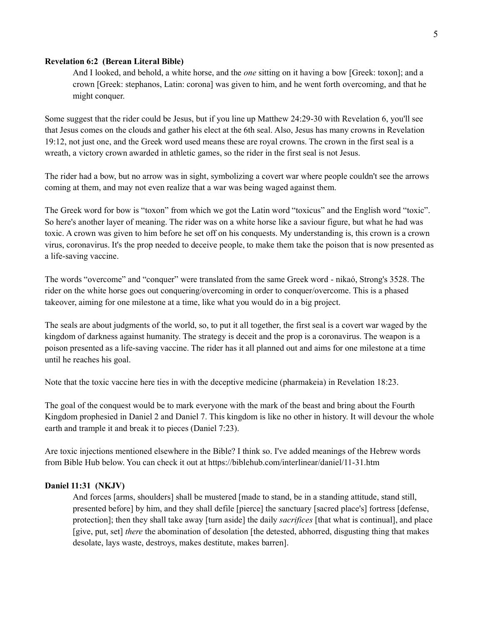#### **Revelation 6:2 (Berean Literal Bible)**

And I looked, and behold, a white horse, and the *one* sitting on it having a bow [Greek: toxon]; and a crown [Greek: stephanos, Latin: corona] was given to him, and he went forth overcoming, and that he might conquer.

Some suggest that the rider could be Jesus, but if you line up Matthew 24:29-30 with Revelation 6, you'll see that Jesus comes on the clouds and gather his elect at the 6th seal. Also, Jesus has many crowns in Revelation 19:12, not just one, and the Greek word used means these are royal crowns. The crown in the first seal is a wreath, a victory crown awarded in athletic games, so the rider in the first seal is not Jesus.

The rider had a bow, but no arrow was in sight, symbolizing a covert war where people couldn't see the arrows coming at them, and may not even realize that a war was being waged against them.

The Greek word for bow is "toxon" from which we got the Latin word "toxicus" and the English word "toxic". So here's another layer of meaning. The rider was on a white horse like a saviour figure, but what he had was toxic. A crown was given to him before he set off on his conquests. My understanding is, this crown is a crown virus, coronavirus. It's the prop needed to deceive people, to make them take the poison that is now presented as a life-saving vaccine.

The words "overcome" and "conquer" were translated from the same Greek word - nikaó, Strong's 3528. The rider on the white horse goes out conquering/overcoming in order to conquer/overcome. This is a phased takeover, aiming for one milestone at a time, like what you would do in a big project.

The seals are about judgments of the world, so, to put it all together, the first seal is a covert war waged by the kingdom of darkness against humanity. The strategy is deceit and the prop is a coronavirus. The weapon is a poison presented as a life-saving vaccine. The rider has it all planned out and aims for one milestone at a time until he reaches his goal.

Note that the toxic vaccine here ties in with the deceptive medicine (pharmakeia) in Revelation 18:23.

The goal of the conquest would be to mark everyone with the mark of the beast and bring about the Fourth Kingdom prophesied in Daniel 2 and Daniel 7. This kingdom is like no other in history. It will devour the whole earth and trample it and break it to pieces (Daniel 7:23).

Are toxic injections mentioned elsewhere in the Bible? I think so. I've added meanings of the Hebrew words from Bible Hub below. You can check it out a[t https://biblehub.com/interlinear/daniel/11-31.htm](https://biblehub.com/interlinear/daniel/11-31.htm)

#### **Daniel 11:31 (NKJV)**

And forces [arms, shoulders] shall be mustered [made to stand, be in a standing attitude, stand still, presented before] by him, and they shall defile [pierce] the sanctuary [sacred place's] fortress [defense, protection]; then they shall take away [turn aside] the daily *sacrifices* [that what is continual], and place [give, put, set] *there* the abomination of desolation [the detested, abhorred, disgusting thing that makes desolate, lays waste, destroys, makes destitute, makes barren].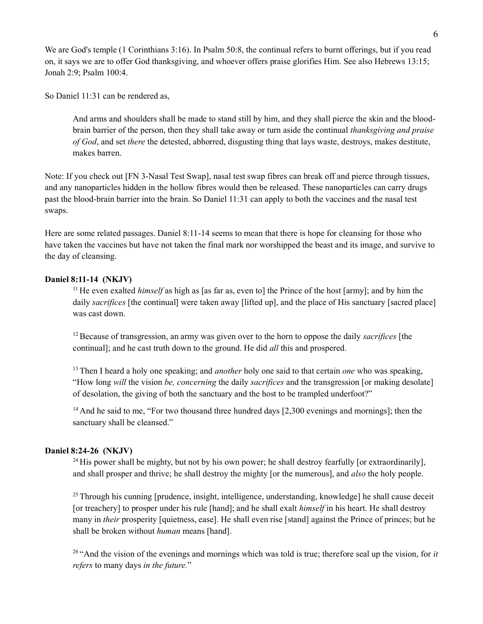We are God's temple (1 Corinthians 3:16). In Psalm 50:8, the continual refers to burnt offerings, but if you read on, it says we are to offer God thanksgiving, and whoever offers praise glorifies Him. See also Hebrews 13:15; Jonah 2:9; Psalm 100:4.

So Daniel 11:31 can be rendered as,

And arms and shoulders shall be made to stand still by him, and they shall pierce the skin and the bloodbrain barrier of the person, then they shall take away or turn aside the continual *thanksgiving and praise of God*, and set *there* the detested, abhorred, disgusting thing that lays waste, destroys, makes destitute, makes barren.

Note: If you check out [FN 3-Nasal Test Swap], nasal test swap fibres can break off and pierce through tissues, and any nanoparticles hidden in the hollow fibres would then be released. These nanoparticles can carry drugs past the blood-brain barrier into the brain. So Daniel 11:31 can apply to both the vaccines and the nasal test swaps.

Here are some related passages. Daniel 8:11-14 seems to mean that there is hope for cleansing for those who have taken the vaccines but have not taken the final mark nor worshipped the beast and its image, and survive to the day of cleansing.

#### **Daniel 8:11-14 (NKJV)**

<sup>11</sup> He even exalted *himself* as high as [as far as, even to] the Prince of the host [army]; and by him the daily *sacrifices* [the continual] were taken away [lifted up], and the place of His sanctuary [sacred place] was cast down.

<sup>12</sup>Because of transgression, an army was given over to the horn to oppose the daily *sacrifices* [the continual]; and he cast truth down to the ground. He did *all* this and prospered.

<sup>13</sup>Then I heard a holy one speaking; and *another* holy one said to that certain *one* who was speaking, "How long *will* the vision *be, concerning* the daily *sacrifices* and the transgression [or making desolate] of desolation, the giving of both the sanctuary and the host to be trampled underfoot?"

<sup>14</sup> And he said to me, "For two thousand three hundred days [2,300 evenings and mornings]; then the sanctuary shall be cleansed."

## **Daniel 8:24-26 (NKJV)**

<sup>24</sup> His power shall be mighty, but not by his own power; he shall destroy fearfully [or extraordinarily], and shall prosper and thrive; he shall destroy the mighty [or the numerous], and *also* the holy people.

 $25$ Through his cunning [prudence, insight, intelligence, understanding, knowledge] he shall cause deceit [or treachery] to prosper under his rule [hand]; and he shall exalt *himself* in his heart. He shall destroy many in *their* prosperity [quietness, ease]. He shall even rise [stand] against the Prince of princes; but he shall be broken without *human* means [hand].

<sup>26</sup>"And the vision of the evenings and mornings which was told is true; therefore seal up the vision, for *it refers* to many days *in the future.*"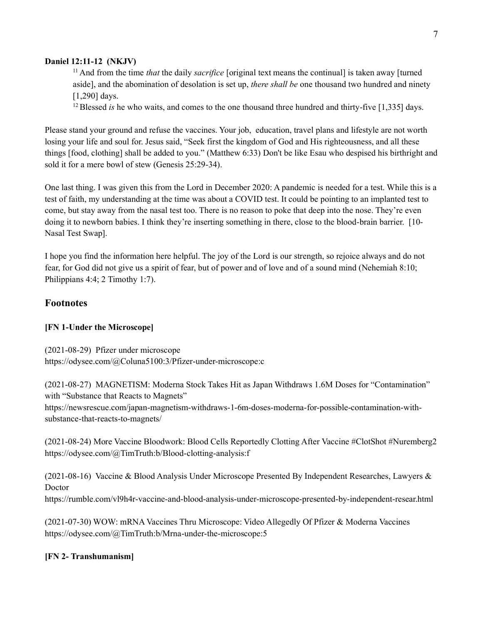#### **Daniel 12:11-12 (NKJV)**

<sup>11</sup> And from the time *that* the daily *sacrifice* [original text means the continual] is taken away [turned aside], and the abomination of desolation is set up, *there shall be* one thousand two hundred and ninety [1,290] days.

<sup>12</sup> Blessed *is* he who waits, and comes to the one thousand three hundred and thirty-five [1,335] days.

Please stand your ground and refuse the vaccines. Your job, education, travel plans and lifestyle are not worth losing your life and soul for. Jesus said, "Seek first the kingdom of God and His righteousness, and all these things [food, clothing] shall be added to you." (Matthew 6:33) Don't be like Esau who despised his birthright and sold it for a mere bowl of stew (Genesis 25:29-34).

One last thing. I was given this from the Lord in December 2020: A pandemic is needed for a test. While this is a test of faith, my understanding at the time was about a COVID test. It could be pointing to an implanted test to come, but stay away from the nasal test too. There is no reason to poke that deep into the nose. They're even doing it to newborn babies. I think they're inserting something in there, close to the blood-brain barrier. [10- Nasal Test Swap].

I hope you find the information here helpful. The joy of the Lord is our strength, so rejoice always and do not fear, for God did not give us a spirit of fear, but of power and of love and of a sound mind (Nehemiah 8:10; Philippians 4:4; 2 Timothy 1:7).

## **Footnotes**

## **[FN 1-Under the Microscope]**

(2021-08-29) Pfizer under microscope <https://odysee.com/@Coluna5100:3/Pfizer-under-microscope:c>

(2021-08-27) MAGNETISM: Moderna Stock Takes Hit as Japan Withdraws 1.6M Doses for "Contamination" with "Substance that Reacts to Magnets"

[https://](https://odysee.com/@TimTruth:b/Blood-clotting-analysis:f)[newsrescue.com/japan-magnetism-withdraws-1-6m-doses-moderna-for-possible-contamination-with](https://newsrescue.com/japan-magnetism-withdraws-1-6m-doses-moderna-for-possible-contamination-with-substance-that-reacts-to-magnets/)[substance-that-reacts-to-magnets/](https://newsrescue.com/japan-magnetism-withdraws-1-6m-doses-moderna-for-possible-contamination-with-substance-that-reacts-to-magnets/)

(2021-08-24) More Vaccine Bloodwork: Blood Cells Reportedly Clotting After Vaccine #ClotShot #Nuremberg2 <https://odysee.com/@TimTruth:b/Blood-clotting-analysis:f>

(2021-08-16) Vaccine & Blood Analysis Under Microscope Presented By Independent Researches, Lawyers & Doctor

<https://rumble.com/vl9h4r-vaccine-and-blood-analysis-under-microscope-presented-by-independent-resear.html>

(2021-07-30) WOW: mRNA Vaccines Thru Microscope: Video Allegedly Of Pfizer & Moderna Vaccines <https://odysee.com/@TimTruth:b/Mrna-under-the-microscope:5>

#### **[FN 2- Transhumanism]**